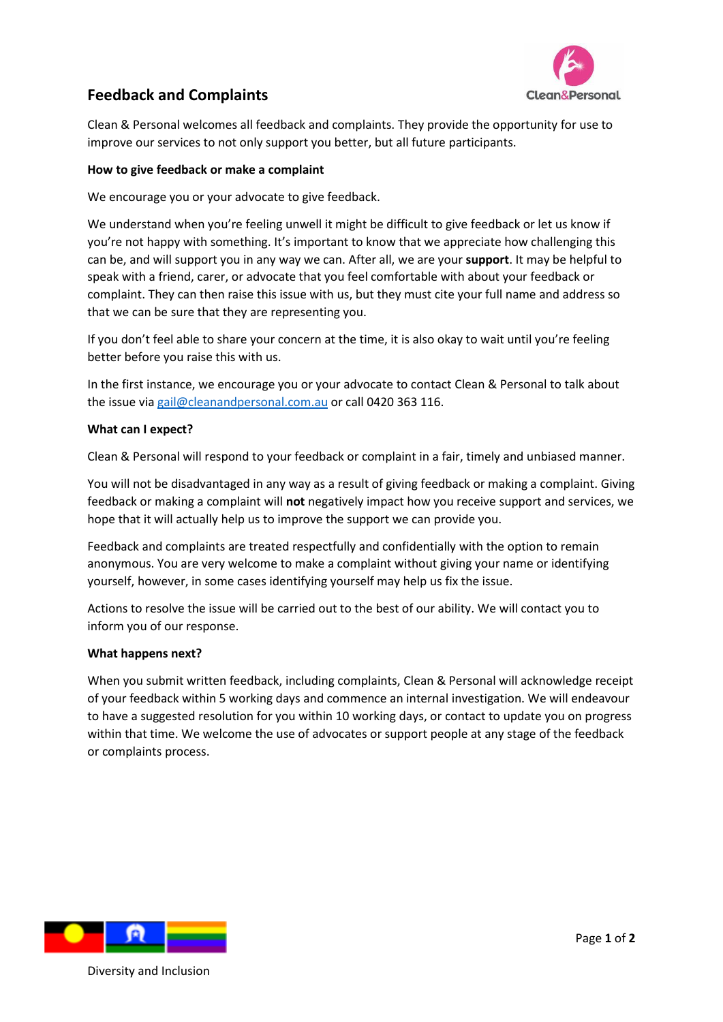

# **Feedback and Complaints**

Clean & Personal welcomes all feedback and complaints. They provide the opportunity for use to improve our services to not only support you better, but all future participants.

### **How to give feedback or make a complaint**

We encourage you or your advocate to give feedback.

We understand when you're feeling unwell it might be difficult to give feedback or let us know if you're not happy with something. It's important to know that we appreciate how challenging this can be, and will support you in any way we can. After all, we are your **support**. It may be helpful to speak with a friend, carer, or advocate that you feel comfortable with about your feedback or complaint. They can then raise this issue with us, but they must cite your full name and address so that we can be sure that they are representing you.

If you don't feel able to share your concern at the time, it is also okay to wait until you're feeling better before you raise this with us.

In the first instance, we encourage you or your advocate to contact Clean & Personal to talk about the issue vi[a gail@cleanandpersonal.com.au](mailto:gail@cleanandpersonal.com.au) or call 0420 363 116.

#### **What can I expect?**

Clean & Personal will respond to your feedback or complaint in a fair, timely and unbiased manner.

You will not be disadvantaged in any way as a result of giving feedback or making a complaint. Giving feedback or making a complaint will **not** negatively impact how you receive support and services, we hope that it will actually help us to improve the support we can provide you.

Feedback and complaints are treated respectfully and confidentially with the option to remain anonymous. You are very welcome to make a complaint without giving your name or identifying yourself, however, in some cases identifying yourself may help us fix the issue.

Actions to resolve the issue will be carried out to the best of our ability. We will contact you to inform you of our response.

#### **What happens next?**

When you submit written feedback, including complaints, Clean & Personal will acknowledge receipt of your feedback within 5 working days and commence an internal investigation. We will endeavour to have a suggested resolution for you within 10 working days, or contact to update you on progress within that time. We welcome the use of advocates or support people at any stage of the feedback or complaints process.



Diversity and Inclusion